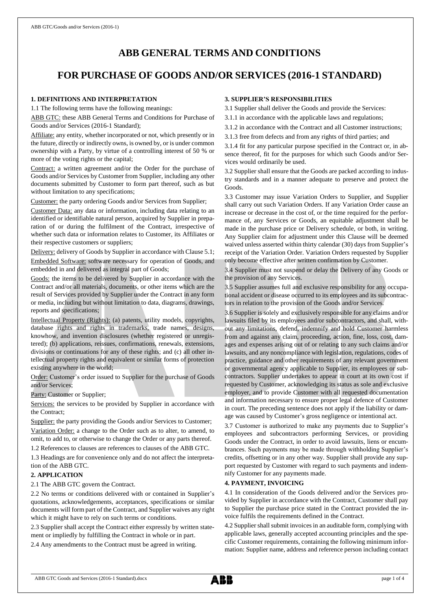# **ABB GENERAL TERMS AND CONDITIONS**

# **FOR PURCHASE OF GOODS AND/OR SERVICES (2016-1 STANDARD)**

## **1. DEFINITIONS AND INTERPRETATION**

1.1 The following terms have the following meanings:

ABB GTC: these ABB General Terms and Conditions for Purchase of Goods and/or Services (2016-1 Standard);

Affiliate: any entity, whether incorporated or not, which presently or in the future, directly or indirectly owns, is owned by, or is under common ownership with a Party, by virtue of a controlling interest of 50 % or more of the voting rights or the capital;

Contract: a written agreement and/or the Order for the purchase of Goods and/or Services by Customer from Supplier, including any other documents submitted by Customer to form part thereof, such as but without limitation to any specifications;

Customer: the party ordering Goods and/or Services from Supplier;

Customer Data: any data or information, including data relating to an identified or identifiable natural person, acquired by Supplier in preparation of or during the fulfilment of the Contract, irrespective of whether such data or information relates to Customer, its Affiliates or their respective customers or suppliers;

Delivery: delivery of Goods by Supplier in accordance with Clause 5.1; Embedded Software: software necessary for operation of Goods, and embedded in and delivered as integral part of Goods;

Goods: the items to be delivered by Supplier in accordance with the Contract and/or all materials, documents, or other items which are the result of Services provided by Supplier under the Contract in any form or media, including but without limitation to data, diagrams, drawings, reports and specifications;

Intellectual Property (Rights): (a) patents, utility models, copyrights, database rights and rights in trademarks, trade names, designs, knowhow, and invention disclosures (whether registered or unregistered); (b) applications, reissues, confirmations, renewals, extensions, divisions or continuations for any of these rights; and (c) all other intellectual property rights and equivalent or similar forms of protection existing anywhere in the world;

Order: Customer's order issued to Supplier for the purchase of Goods and/or Services;

Party: Customer or Supplier;

Services: the services to be provided by Supplier in accordance with the Contract;

Supplier: the party providing the Goods and/or Services to Customer; Variation Order: a change to the Order such as to alter, to amend, to omit, to add to, or otherwise to change the Order or any parts thereof.

1.2 References to clauses are references to clauses of the ABB GTC.

1.3 Headings are for convenience only and do not affect the interpretation of the ABB GTC.

#### **2. APPLICATION**

2.1 The ABB GTC govern the Contract.

2.2 No terms or conditions delivered with or contained in Supplier's quotations, acknowledgements, acceptances, specifications or similar documents will form part of the Contract, and Supplier waives any right which it might have to rely on such terms or conditions.

2.3 Supplier shall accept the Contract either expressly by written statement or impliedly by fulfilling the Contract in whole or in part.

2.4 Any amendments to the Contract must be agreed in writing.

# **3. SUPPLIER'S RESPONSIBILITIES**

3.1 Supplier shall deliver the Goods and provide the Services:

3.1.1 in accordance with the applicable laws and regulations;

3.1.2 in accordance with the Contract and all Customer instructions;

3.1.3 free from defects and from any rights of third parties; and

3.1.4 fit for any particular purpose specified in the Contract or, in absence thereof, fit for the purposes for which such Goods and/or Services would ordinarily be used.

3.2 Supplier shall ensure that the Goods are packed according to industry standards and in a manner adequate to preserve and protect the Goods.

3.3 Customer may issue Variation Orders to Supplier, and Supplier shall carry out such Variation Orders. If any Variation Order cause an increase or decrease in the cost of, or the time required for the performance of, any Services or Goods, an equitable adjustment shall be made in the purchase price or Delivery schedule, or both, in writing. Any Supplier claim for adjustment under this Clause will be deemed waived unless asserted within thirty calendar (30) days from Supplier's receipt of the Variation Order. Variation Orders requested by Supplier only become effective after written confirmation by Customer.

3.4 Supplier must not suspend or delay the Delivery of any Goods or the provision of any Services.

3.5 Supplier assumes full and exclusive responsibility for any occupational accident or disease occurred to its employees and its subcontractors in relation to the provision of the Goods and/or Services.

3.6 Supplier is solely and exclusively responsible for any claims and/or lawsuits filed by its employees and/or subcontractors, and shall, without any limitations, defend, indemnify and hold Customer harmless from and against any claim, proceeding, action, fine, loss, cost, damages and expenses arising out of or relating to any such claims and/or lawsuits, and any noncompliance with legislation, regulations, codes of practice, guidance and other requirements of any relevant government or governmental agency applicable to Supplier, its employees or subcontractors. Supplier undertakes to appear in court at its own cost if requested by Customer, acknowledging its status as sole and exclusive employer, and to provide Customer with all requested documentation and information necessary to ensure proper legal defence of Customer in court. The preceding sentence does not apply if the liability or damage was caused by Customer's gross negligence or intentional act.

3.7 Customer is authorized to make any payments due to Supplier's employees and subcontractors performing Services, or providing Goods under the Contract, in order to avoid lawsuits, liens or encumbrances. Such payments may be made through withholding Supplier's credits, offsetting or in any other way. Supplier shall provide any support requested by Customer with regard to such payments and indemnify Customer for any payments made.

## **4. PAYMENT, INVOICING**

4.1 In consideration of the Goods delivered and/or the Services provided by Supplier in accordance with the Contract, Customer shall pay to Supplier the purchase price stated in the Contract provided the invoice fulfils the requirements defined in the Contract.

4.2 Supplier shall submit invoices in an auditable form, complying with applicable laws, generally accepted accounting principles and the specific Customer requirements, containing the following minimum information: Supplier name, address and reference person including contact

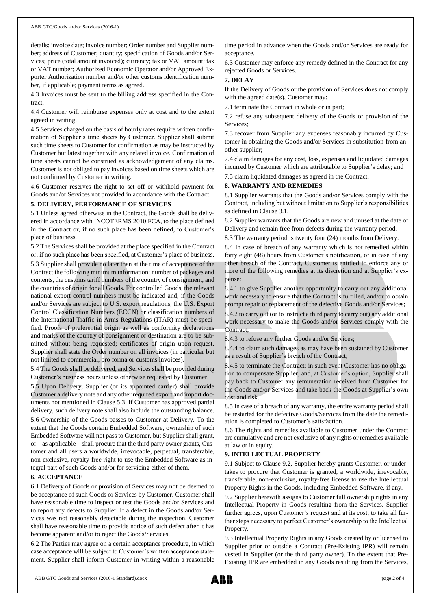details; invoice date; invoice number; Order number and Supplier number; address of Customer; quantity; specification of Goods and/or Services; price (total amount invoiced); currency; tax or VAT amount; tax or VAT number; Authorized Economic Operator and/or Approved Exporter Authorization number and/or other customs identification number, if applicable; payment terms as agreed.

4.3 Invoices must be sent to the billing address specified in the Contract.

4.4 Customer will reimburse expenses only at cost and to the extent agreed in writing.

4.5 Services charged on the basis of hourly rates require written confirmation of Supplier's time sheets by Customer. Supplier shall submit such time sheets to Customer for confirmation as may be instructed by Customer but latest together with any related invoice. Confirmation of time sheets cannot be construed as acknowledgement of any claims. Customer is not obliged to pay invoices based on time sheets which are not confirmed by Customer in writing.

4.6 Customer reserves the right to set off or withhold payment for Goods and/or Services not provided in accordance with the Contract.

#### **5. DELIVERY, PERFORMANCE OF SERVICES**

5.1 Unless agreed otherwise in the Contract, the Goods shall be delivered in accordance with INCOTERMS 2010 FCA, to the place defined in the Contract or, if no such place has been defined, to Customer's place of business.

5.2 The Services shall be provided at the place specified in the Contract or, if no such place has been specified, at Customer's place of business.

5.3 Supplier shall provide no later than at the time of acceptance of the Contract the following minimum information: number of packages and contents, the customs tariff numbers of the country of consignment, and the countries of origin for all Goods. For controlled Goods, the relevant national export control numbers must be indicated and, if the Goods and/or Services are subject to U.S. export regulations, the U.S. Export Control Classification Numbers (ECCN) or classification numbers of the International Traffic in Arms Regulations (ITAR) must be specified. Proofs of preferential origin as well as conformity declarations and marks of the country of consignment or destination are to be submitted without being requested; certificates of origin upon request. Supplier shall state the Order number on all invoices (in particular but not limited to commercial, pro forma or customs invoices).

5.4 The Goods shall be delivered, and Services shall be provided during Customer's business hours unless otherwise requested by Customer.

5.5 Upon Delivery, Supplier (or its appointed carrier) shall provide Customer a delivery note and any other required export and import documents not mentioned in Clause 5.3. If Customer has approved partial delivery, such delivery note shall also include the outstanding balance.

5.6 Ownership of the Goods passes to Customer at Delivery. To the extent that the Goods contain Embedded Software, ownership of such Embedded Software will not passto Customer, but Supplier shall grant, or – as applicable – shall procure that the third party owner grants, Customer and all users a worldwide, irrevocable, perpetual, transferable, non-exclusive, royalty-free right to use the Embedded Software as integral part of such Goods and/or for servicing either of them.

#### **6. ACCEPTANCE**

6.1 Delivery of Goods or provision of Services may not be deemed to be acceptance of such Goods or Services by Customer. Customer shall have reasonable time to inspect or test the Goods and/or Services and to report any defects to Supplier. If a defect in the Goods and/or Services was not reasonably detectable during the inspection, Customer shall have reasonable time to provide notice of such defect after it has become apparent and/or to reject the Goods/Services.

6.2 The Parties may agree on a certain acceptance procedure, in which case acceptance will be subject to Customer's written acceptance statement. Supplier shall inform Customer in writing within a reasonable time period in advance when the Goods and/or Services are ready for acceptance.

6.3 Customer may enforce any remedy defined in the Contract for any rejected Goods or Services.

## **7. DELAY**

If the Delivery of Goods or the provision of Services does not comply with the agreed date(s), Customer may:

7.1 terminate the Contract in whole or in part;

7.2 refuse any subsequent delivery of the Goods or provision of the Services;

7.3 recover from Supplier any expenses reasonably incurred by Customer in obtaining the Goods and/or Services in substitution from another supplier;

7.4 claim damages for any cost, loss, expenses and liquidated damages incurred by Customer which are attributable to Supplier's delay; and

7.5 claim liquidated damages as agreed in the Contract.

### **8. WARRANTY AND REMEDIES**

8.1 Supplier warrants that the Goods and/or Services comply with the Contract, including but without limitation to Supplier's responsibilities as defined in Clause 3.1.

8.2 Supplier warrants that the Goods are new and unused at the date of Delivery and remain free from defects during the warranty period.

8.3 The warranty period is twenty four (24) months from Delivery.

8.4 In case of breach of any warranty which is not remedied within forty eight (48) hours from Customer's notification, or in case of any other breach of the Contract, Customer is entitled to enforce any or more of the following remedies at its discretion and at Supplier's expense:

8.4.1 to give Supplier another opportunity to carry out any additional work necessary to ensure that the Contract is fulfilled, and/or to obtain prompt repair or replacement of the defective Goods and/or Services;

8.4.2 to carry out (or to instruct a third party to carry out) any additional work necessary to make the Goods and/or Services comply with the Contract;

8.4.3 to refuse any further Goods and/or Services;

8.4.4 to claim such damages as may have been sustained by Customer as a result of Supplier's breach of the Contract;

8.4.5 to terminate the Contract; in such event Customer has no obligation to compensate Supplier, and, at Customer's option, Supplier shall pay back to Customer any remuneration received from Customer for the Goods and/or Services and take back the Goods at Supplier's own cost and risk.

8.5 In case of a breach of any warranty, the entire warranty period shall be restarted for the defective Goods/Services from the date the remediation is completed to Customer's satisfaction.

8.6 The rights and remedies available to Customer under the Contract are cumulative and are not exclusive of any rights or remedies available at law or in equity.

#### **9. INTELLECTUAL PROPERTY**

9.1 Subject to Clause 9.2, Supplier hereby grants Customer, or undertakes to procure that Customer is granted, a worldwide, irrevocable, transferable, non-exclusive, royalty-free license to use the Intellectual Property Rights in the Goods, including Embedded Software, if any.

9.2 Supplier herewith assigns to Customer full ownership rights in any Intellectual Property in Goods resulting from the Services. Supplier further agrees, upon Customer's request and at its cost, to take all further steps necessary to perfect Customer's ownership to the Intellectual Property.

9.3 Intellectual Property Rights in any Goods created by or licensed to Supplier prior or outside a Contract (Pre-Existing IPR) will remain vested in Supplier (or the third party owner). To the extent that Pre-Existing IPR are embedded in any Goods resulting from the Services,

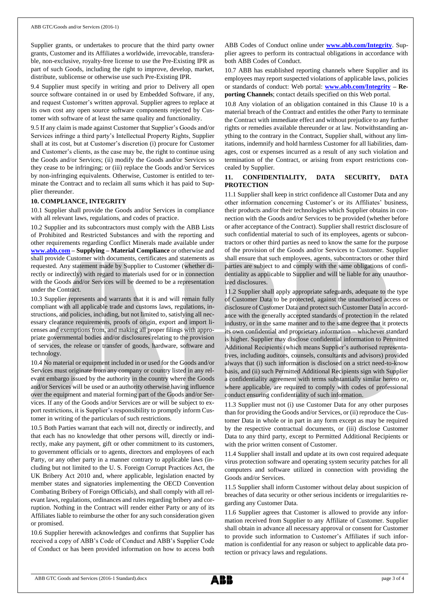Supplier grants, or undertakes to procure that the third party owner grants, Customer and its Affiliates a worldwide, irrevocable, transferable, non-exclusive, royalty-free license to use the Pre-Existing IPR as part of such Goods, including the right to improve, develop, market, distribute, sublicense or otherwise use such Pre-Existing IPR.

9.4 Supplier must specify in writing and prior to Delivery all open source software contained in or used by Embedded Software, if any, and request Customer's written approval. Supplier agrees to replace at its own cost any open source software components rejected by Customer with software of at least the same quality and functionality.

9.5 If any claim is made against Customer that Supplier's Goods and/or Services infringe a third party's Intellectual Property Rights, Supplier shall at its cost, but at Customer's discretion (i) procure for Customer and Customer's clients, as the case may be, the right to continue using the Goods and/or Services; (ii) modify the Goods and/or Services so they cease to be infringing; or (iii) replace the Goods and/or Services by non-infringing equivalents. Otherwise, Customer is entitled to terminate the Contract and to reclaim all sums which it has paid to Supplier thereunder.

#### **10. COMPLIANCE, INTEGRITY**

10.1 Supplier shall provide the Goods and/or Services in compliance with all relevant laws, regulations, and codes of practice.

10.2 Supplier and its subcontractors must comply with the ABB Lists of Prohibited and Restricted Substances and with the reporting and other requirements regarding Conflict Minerals made available under **[www.abb.com](http://www.abb.com/) – Supplying – Material Compliance** or otherwise and shall provide Customer with documents, certificates and statements as requested. Any statement made by Supplier to Customer (whether directly or indirectly) with regard to materials used for or in connection with the Goods and/or Services will be deemed to be a representation under the Contract.

10.3 Supplier represents and warrants that it is and will remain fully compliant with all applicable trade and customs laws, regulations, instructions, and policies, including, but not limited to, satisfying all necessary clearance requirements, proofs of origin, export and import licenses and exemptions from, and making all proper filings with appropriate governmental bodies and/or disclosures relating to the provision of services, the release or transfer of goods, hardware, software and technology.

10.4 No material or equipment included in or used for the Goods and/or Services must originate from any company or country listed in any relevant embargo issued by the authority in the country where the Goods and/or Services will be used or an authority otherwise having influence over the equipment and material forming part of the Goods and/or Services. If any of the Goods and/or Services are or will be subject to export restrictions, it is Supplier's responsibility to promptly inform Customer in writing of the particulars of such restrictions.

10.5 Both Parties warrant that each will not, directly or indirectly, and that each has no knowledge that other persons will, directly or indirectly, make any payment, gift or other commitment to its customers, to government officials or to agents, directors and employees of each Party, or any other party in a manner contrary to applicable laws (including but not limited to the U. S. Foreign Corrupt Practices Act, the UK Bribery Act 2010 and, where applicable, legislation enacted by member states and signatories implementing the OECD Convention Combating Bribery of Foreign Officials), and shall comply with all relevant laws, regulations, ordinances and rules regarding bribery and corruption. Nothing in the Contract will render either Party or any of its Affiliates liable to reimburse the other for any such consideration given or promised.

10.6 Supplier herewith acknowledges and confirms that Supplier has received a copy of ABB's Code of Conduct and ABB's Supplier Code of Conduct or has been provided information on how to access both ABB Codes of Conduct online under **[www.abb.com/Integrity](http://www.abb.com/Integrity)**. Supplier agrees to perform its contractual obligations in accordance with both ABB Codes of Conduct.

10.7 ABB has established reporting channels where Supplier and its employees may report suspected violations of applicable laws, policies or standards of conduct: Web portal: **[www.abb.com/Integrity](http://www.abb.com/Integrity) – Reporting Channels**; contact details specified on this Web portal.

10.8 Any violation of an obligation contained in this Clause 10 is a material breach of the Contract and entitles the other Party to terminate the Contract with immediate effect and without prejudice to any further rights or remedies available thereunder or at law. Notwithstanding anything to the contrary in the Contract, Supplier shall, without any limitations, indemnify and hold harmless Customer for all liabilities, damages, cost or expenses incurred as a result of any such violation and termination of the Contract, or arising from export restrictions concealed by Supplier.

#### **11. CONFIDENTIALITY, DATA SECURITY, DATA PROTECTION**

11.1 Supplier shall keep in strict confidence all Customer Data and any other information concerning Customer's or its Affiliates' business, their products and/or their technologies which Supplier obtains in connection with the Goods and/or Services to be provided (whether before or after acceptance of the Contract). Supplier shall restrict disclosure of such confidential material to such of its employees, agents or subcontractors or other third parties as need to know the same for the purpose of the provision of the Goods and/or Services to Customer. Supplier shall ensure that such employees, agents, subcontractors or other third parties are subject to and comply with the same obligations of confidentiality as applicable to Supplier and will be liable for any unauthorized disclosures.

11.2 Supplier shall apply appropriate safeguards, adequate to the type of Customer Data to be protected, against the unauthorised access or disclosure of Customer Data and protect such Customer Data in accordance with the generally accepted standards of protection in the related industry, or in the same manner and to the same degree that it protects its own confidential and proprietary information – whichever standard is higher. Supplier may disclose confidential information to Permitted Additional Recipients (which means Supplier's authorised representatives, including auditors, counsels, consultants and advisors) provided always that (i) such information is disclosed on a strict need-to-know basis, and (ii) such Permitted Additional Recipients sign with Supplier a confidentiality agreement with terms substantially similar hereto or, where applicable, are required to comply with codes of professional conduct ensuring confidentiality of such information.

11.3 Supplier must not (i) use Customer Data for any other purposes than for providing the Goods and/or Services, or (ii) reproduce the Customer Data in whole or in part in any form except as may be required by the respective contractual documents, or (iii) disclose Customer Data to any third party, except to Permitted Additional Recipients or with the prior written consent of Customer.

11.4 Supplier shall install and update at its own cost required adequate virus protection software and operating system security patches for all computers and software utilized in connection with providing the Goods and/or Services.

11.5 Supplier shall inform Customer without delay about suspicion of breaches of data security or other serious incidents or irregularities regarding any Customer Data.

11.6 Supplier agrees that Customer is allowed to provide any information received from Supplier to any Affiliate of Customer. Supplier shall obtain in advance all necessary approval or consent for Customer to provide such information to Customer's Affiliates if such information is confidential for any reason or subject to applicable data protection or privacy laws and regulations.